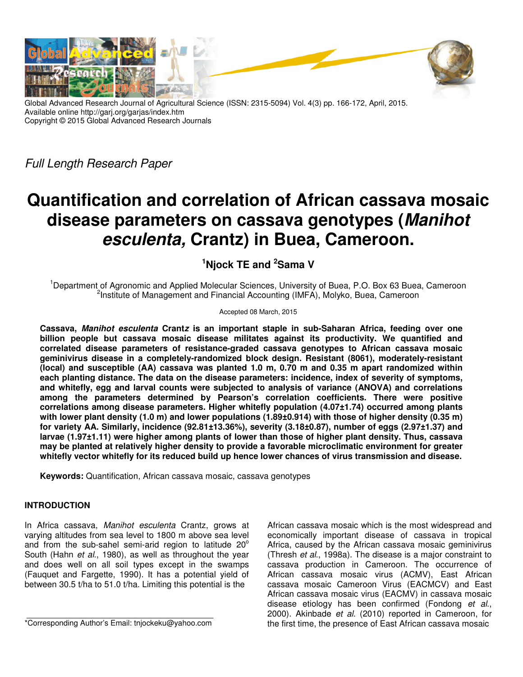

Global Advanced Research Journal of Agricultural Science (ISSN: 2315-5094) Vol. 4(3) pp. 166-172, April, 2015. Available online http://garj.org/garjas/index.htm Copyright © 2015 Global Advanced Research Journals

Full Length Research Paper

# **Quantification and correlation of African cassava mosaic disease parameters on cassava genotypes (Manihot esculenta, Crantz) in Buea, Cameroon.**

**<sup>1</sup>Njock TE and <sup>2</sup>Sama V** 

<sup>1</sup>Department of Agronomic and Applied Molecular Sciences, University of Buea, P.O. Box 63 Buea, Cameroon <sup>2</sup>Institute of Management and Financial Accounting (IMFA), Molyko, Buea, Cameroon

Accepted 08 March, 2015

**Cassava, Manihot esculenta Crantz is an important staple in sub-Saharan Africa, feeding over one billion people but cassava mosaic disease militates against its productivity. We quantified and correlated disease parameters of resistance-graded cassava genotypes to African cassava mosaic geminivirus disease in a completely-randomized block design. Resistant (8061), moderately-resistant (local) and susceptible (AA) cassava was planted 1.0 m, 0.70 m and 0.35 m apart randomized within each planting distance. The data on the disease parameters: incidence, index of severity of symptoms, and whitefly, egg and larval counts were subjected to analysis of variance (ANOVA) and correlations among the parameters determined by Pearson's correlation coefficients. There were positive correlations among disease parameters. Higher whitefly population (4.07±1.74) occurred among plants with lower plant density (1.0 m) and lower populations (1.89±0.914) with those of higher density (0.35 m) for variety AA. Similarly, incidence (92.81±13.36%), severity (3.18±0.87), number of eggs (2.97±1.37) and larvae (1.97±1.11) were higher among plants of lower than those of higher plant density. Thus, cassava may be planted at relatively higher density to provide a favorable microclimatic environment for greater whitefly vector whitefly for its reduced build up hence lower chances of virus transmission and disease.** 

**Keywords:** Quantification, African cassava mosaic, cassava genotypes

## **INTRODUCTION**

In Africa cassava, Manihot esculenta Crantz, grows at varying altitudes from sea level to 1800 m above sea level and from the sub-sahel semi-arid region to latitude  $20^{\circ}$ South (Hahn et al., 1980), as well as throughout the year and does well on all soil types except in the swamps (Fauquet and Fargette, 1990). It has a potential yield of between 30.5 t/ha to 51.0 t/ha. Limiting this potential is the

\*Corresponding Author's Email: tnjockeku@yahoo.com

African cassava mosaic which is the most widespread and economically important disease of cassava in tropical Africa, caused by the African cassava mosaic geminivirus (Thresh et al., 1998a). The disease is a major constraint to cassava production in Cameroon. The occurrence of African cassava mosaic virus (ACMV), East African cassava mosaic Cameroon Virus (EACMCV) and East African cassava mosaic virus (EACMV) in cassava mosaic disease etiology has been confirmed (Fondong et al., 2000). Akinbade et al. (2010) reported in Cameroon, for the first time, the presence of East African cassava mosaic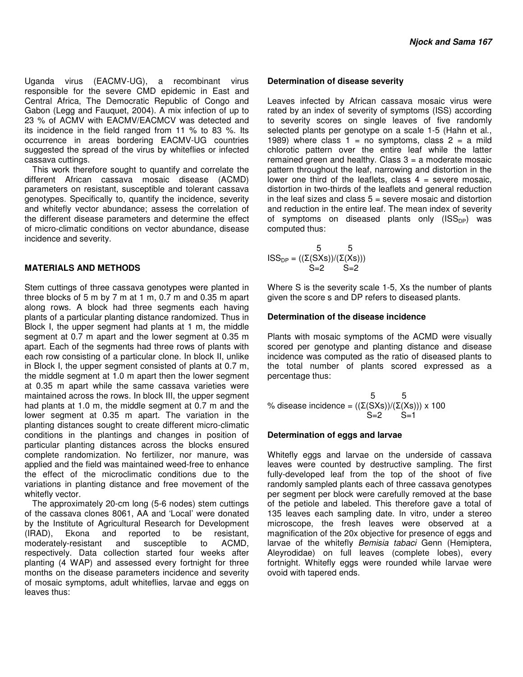Uganda virus (EACMV-UG), a recombinant virus responsible for the severe CMD epidemic in East and Central Africa, The Democratic Republic of Congo and Gabon (Legg and Fauquet, 2004). A mix infection of up to 23 % of ACMV with EACMV/EACMCV was detected and its incidence in the field ranged from 11 % to 83 %. Its occurrence in areas bordering EACMV-UG countries suggested the spread of the virus by whiteflies or infected cassava cuttings.

This work therefore sought to quantify and correlate the different African cassava mosaic disease (ACMD) parameters on resistant, susceptible and tolerant cassava genotypes. Specifically to, quantify the incidence, severity and whitefly vector abundance; assess the correlation of the different disease parameters and determine the effect of micro-climatic conditions on vector abundance, disease incidence and severity.

## **MATERIALS AND METHODS**

Stem cuttings of three cassava genotypes were planted in three blocks of 5 m by 7 m at 1 m, 0.7 m and 0.35 m apart along rows. A block had three segments each having plants of a particular planting distance randomized. Thus in Block I, the upper segment had plants at 1 m, the middle segment at 0.7 m apart and the lower segment at 0.35 m apart. Each of the segments had three rows of plants with each row consisting of a particular clone. In block II, unlike in Block I, the upper segment consisted of plants at 0.7 m, the middle segment at 1.0 m apart then the lower segment at 0.35 m apart while the same cassava varieties were maintained across the rows. In block III, the upper segment had plants at 1.0 m, the middle segment at 0.7 m and the lower segment at 0.35 m apart. The variation in the planting distances sought to create different micro-climatic conditions in the plantings and changes in position of particular planting distances across the blocks ensured complete randomization. No fertilizer, nor manure, was applied and the field was maintained weed-free to enhance the effect of the microclimatic conditions due to the variations in planting distance and free movement of the whitefly vector.

The approximately 20-cm long (5-6 nodes) stem cuttings of the cassava clones 8061, AA and 'Local' were donated by the Institute of Agricultural Research for Development (IRAD), Ekona and reported to be resistant, moderately-resistant and susceptible to ACMD, respectively. Data collection started four weeks after planting (4 WAP) and assessed every fortnight for three months on the disease parameters incidence and severity of mosaic symptoms, adult whiteflies, larvae and eggs on leaves thus:

### **Determination of disease severity**

Leaves infected by African cassava mosaic virus were rated by an index of severity of symptoms (ISS) according to severity scores on single leaves of five randomly selected plants per genotype on a scale 1-5 (Hahn et al., 1989) where class  $1 = no$  symptoms, class  $2 = a$  mild chlorotic pattern over the entire leaf while the latter remained green and healthy. Class  $3 = a$  moderate mosaic pattern throughout the leaf, narrowing and distortion in the lower one third of the leaflets, class  $4 =$  severe mosaic, distortion in two-thirds of the leaflets and general reduction in the leaf sizes and class  $5 =$  severe mosaic and distortion and reduction in the entire leaf. The mean index of severity of symptoms on diseased plants only  $(ISS<sub>DP</sub>)$  was computed thus:

$$
ISS_{DP} = \begin{pmatrix} 5 & 5 \\ (\Sigma(SXs))/(\Sigma(Xs)) \end{pmatrix}
$$
  
S=2  $S=2$ 

Where S is the severity scale 1-5, Xs the number of plants given the score s and DP refers to diseased plants.

#### **Determination of the disease incidence**

Plants with mosaic symptoms of the ACMD were visually scored per genotype and planting distance and disease incidence was computed as the ratio of diseased plants to the total number of plants scored expressed as a percentage thus:

 $5 \t 5$ % disease incidence =  $((\Sigma(SXs))/(\Sigma(Xs))) \times 100$  $S=2$  S=1

### **Determination of eggs and larvae**

Whitefly eggs and larvae on the underside of cassava leaves were counted by destructive sampling. The first fully-developed leaf from the top of the shoot of five randomly sampled plants each of three cassava genotypes per segment per block were carefully removed at the base of the petiole and labeled. This therefore gave a total of 135 leaves each sampling date. In vitro, under a stereo microscope, the fresh leaves were observed at a magnification of the 20x objective for presence of eggs and larvae of the whitefly Bemisia tabaci Genn (Hemiptera, Aleyrodidae) on full leaves (complete lobes), every fortnight. Whitefly eggs were rounded while larvae were ovoid with tapered ends.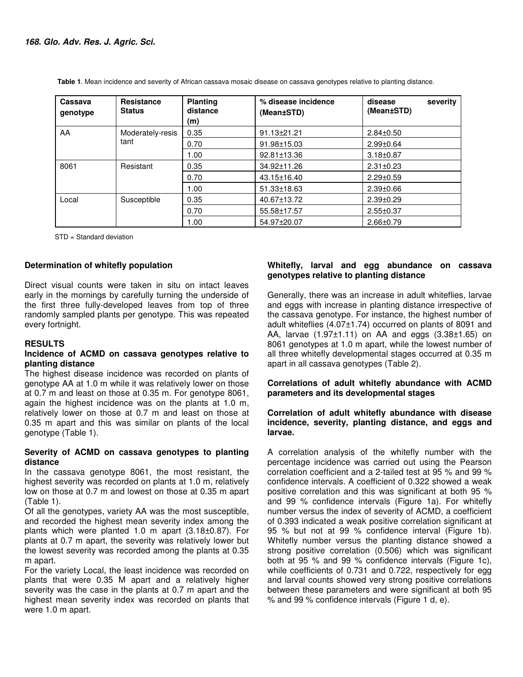| Cassava<br>genotype | <b>Resistance</b><br><b>Status</b> | <b>Planting</b><br>distance<br>(m) | % disease incidence<br>(Mean±STD) | severity<br>disease<br>(Mean±STD) |
|---------------------|------------------------------------|------------------------------------|-----------------------------------|-----------------------------------|
| AA                  | Moderately-resis<br>tant           | 0.35                               | $91.13 \pm 21.21$                 | $2.84 \pm 0.50$                   |
|                     |                                    | 0.70                               | 91.98±15.03                       | $2.99 \pm 0.64$                   |
|                     |                                    | 1.00                               | 92.81±13.36                       | $3.18 \pm 0.87$                   |
| 8061                | Resistant                          | 0.35                               | 34.92±11.26                       | $2.31 \pm 0.23$                   |
|                     |                                    | 0.70                               | 43.15±16.40                       | $2.29 \pm 0.59$                   |
|                     |                                    | 1.00                               | 51.33±18.63                       | $2.39 \pm 0.66$                   |
| Local               | Susceptible                        | 0.35                               | 40.67±13.72                       | $2.39 + 0.29$                     |
|                     |                                    | 0.70                               | 55.58±17.57                       | $2.55 \pm 0.37$                   |
|                     |                                    | 1.00                               | 54.97±20.07                       | $2.66 \pm 0.79$                   |

 **Table 1**. Mean incidence and severity of African cassava mosaic disease on cassava genotypes relative to planting distance.

STD = Standard deviation

### **Determination of whitefly population**

Direct visual counts were taken in situ on intact leaves early in the mornings by carefully turning the underside of the first three fully-developed leaves from top of three randomly sampled plants per genotype. This was repeated every fortnight.

#### **RESULTS**

#### **Incidence of ACMD on cassava genotypes relative to planting distance**

The highest disease incidence was recorded on plants of genotype AA at 1.0 m while it was relatively lower on those at 0.7 m and least on those at 0.35 m. For genotype 8061, again the highest incidence was on the plants at 1.0 m, relatively lower on those at 0.7 m and least on those at 0.35 m apart and this was similar on plants of the local genotype (Table 1).

#### **Severity of ACMD on cassava genotypes to planting distance**

In the cassava genotype 8061, the most resistant, the highest severity was recorded on plants at 1.0 m, relatively low on those at 0.7 m and lowest on those at 0.35 m apart (Table 1).

Of all the genotypes, variety AA was the most susceptible, and recorded the highest mean severity index among the plants which were planted 1.0 m apart (3.18±0.87). For plants at 0.7 m apart, the severity was relatively lower but the lowest severity was recorded among the plants at 0.35 m apart.

For the variety Local, the least incidence was recorded on plants that were 0.35 M apart and a relatively higher severity was the case in the plants at 0.7 m apart and the highest mean severity index was recorded on plants that were 1.0 m apart.

## **Whitefly, larval and egg abundance on cassava genotypes relative to planting distance**

Generally, there was an increase in adult whiteflies, larvae and eggs with increase in planting distance irrespective of the cassava genotype. For instance, the highest number of adult whiteflies (4.07±1.74) occurred on plants of 8091 and AA, larvae (1.97±1.11) on AA and eggs (3.38±1.65) on 8061 genotypes at 1.0 m apart, while the lowest number of all three whitefly developmental stages occurred at 0.35 m apart in all cassava genotypes (Table 2).

## **Correlations of adult whitefly abundance with ACMD parameters and its developmental stages**

## **Correlation of adult whitefly abundance with disease incidence, severity, planting distance, and eggs and larvae.**

A correlation analysis of the whitefly number with the percentage incidence was carried out using the Pearson correlation coefficient and a 2-tailed test at 95 % and 99 % confidence intervals. A coefficient of 0.322 showed a weak positive correlation and this was significant at both 95 % and 99 % confidence intervals (Figure 1a). For whitefly number versus the index of severity of ACMD, a coefficient of 0.393 indicated a weak positive correlation significant at 95 % but not at 99 % confidence interval (Figure 1b). Whitefly number versus the planting distance showed a strong positive correlation (0.506) which was significant both at 95 % and 99 % confidence intervals (Figure 1c), while coefficients of 0.731 and 0.722, respectively for egg and larval counts showed very strong positive correlations between these parameters and were significant at both 95 % and 99 % confidence intervals (Figure 1 d, e).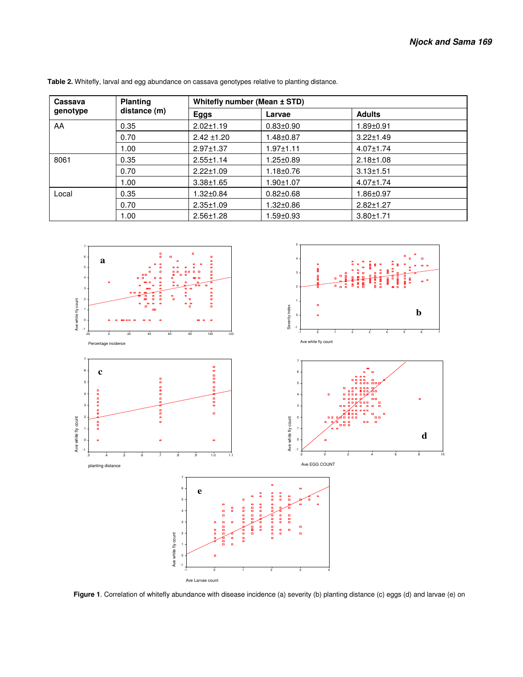| Cassava<br>genotype | <b>Planting</b> | Whitefly number (Mean ± STD) |                 |                 |  |
|---------------------|-----------------|------------------------------|-----------------|-----------------|--|
|                     | distance (m)    | Eggs                         | Larvae          | <b>Adults</b>   |  |
| AA                  | 0.35            | $2.02 \pm 1.19$              | $0.83 \pm 0.90$ | 1.89±0.91       |  |
|                     | 0.70            | $2.42 \pm 1.20$              | $1.48 \pm 0.87$ | $3.22 \pm 1.49$ |  |
|                     | 1.00            | $2.97 \pm 1.37$              | $1.97 \pm 1.11$ | $4.07 \pm 1.74$ |  |
| 8061                | 0.35            | $2.55 \pm 1.14$              | $1.25 \pm 0.89$ | $2.18 + 1.08$   |  |
|                     | 0.70            | $2.22 \pm 1.09$              | $1.18 \pm 0.76$ | $3.13 \pm 1.51$ |  |
|                     | 1.00            | $3.38 + 1.65$                | $1.90 + 1.07$   | $4.07 \pm 1.74$ |  |
| Local               | 0.35            | $1.32 \pm 0.84$              | $0.82 \pm 0.68$ | 1.86±0.97       |  |
|                     | 0.70            | $2.35 \pm 1.09$              | $1.32 \pm 0.86$ | $2.82 \pm 1.27$ |  |
|                     | 1.00            | $2.56 \pm 1.28$              | $1.59 + 0.93$   | $3.80 \pm 1.71$ |  |

 **Table 2.** Whitefly, larval and egg abundance on cassava genotypes relative to planting distance.



 **Figure 1**. Correlation of whitefly abundance with disease incidence (a) severity (b) planting distance (c) eggs (d) and larvae (e) on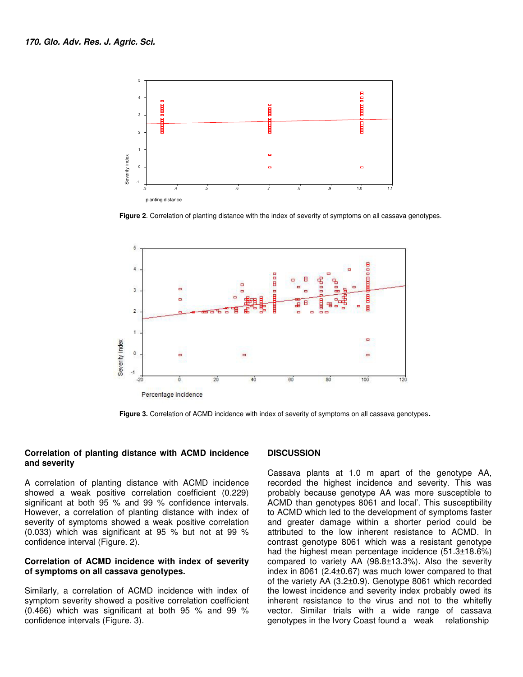

**Figure 2**. Correlation of planting distance with the index of severity of symptoms on all cassava genotypes.



 **Figure 3.** Correlation of ACMD incidence with index of severity of symptoms on all cassava genotypes.

#### **Correlation of planting distance with ACMD incidence and severity**

A correlation of planting distance with ACMD incidence showed a weak positive correlation coefficient (0.229) significant at both 95 % and 99 % confidence intervals. However, a correlation of planting distance with index of severity of symptoms showed a weak positive correlation (0.033) which was significant at 95 % but not at 99 % confidence interval (Figure. 2).

#### **Correlation of ACMD incidence with index of severity of symptoms on all cassava genotypes.**

Similarly, a correlation of ACMD incidence with index of symptom severity showed a positive correlation coefficient (0.466) which was significant at both 95 % and 99 % confidence intervals (Figure. 3).

#### **DISCUSSION**

Cassava plants at 1.0 m apart of the genotype AA, recorded the highest incidence and severity. This was probably because genotype AA was more susceptible to ACMD than genotypes 8061 and local'. This susceptibility to ACMD which led to the development of symptoms faster and greater damage within a shorter period could be attributed to the low inherent resistance to ACMD. In contrast genotype 8061 which was a resistant genotype had the highest mean percentage incidence (51.3±18.6%) compared to variety AA (98.8±13.3%). Also the severity index in 8061 (2.4±0.67) was much lower compared to that of the variety AA (3.2±0.9). Genotype 8061 which recorded the lowest incidence and severity index probably owed its inherent resistance to the virus and not to the whitefly vector. Similar trials with a wide range of cassava genotypes in the Ivory Coast found a weak relationship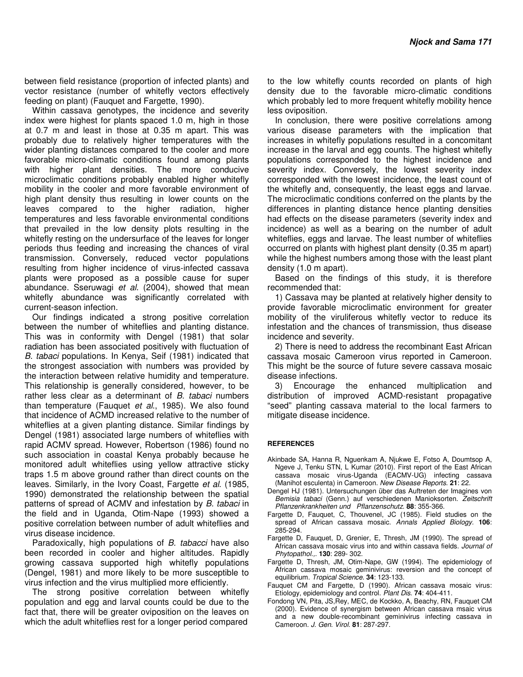between field resistance (proportion of infected plants) and vector resistance (number of whitefly vectors effectively feeding on plant) (Fauquet and Fargette, 1990).

Within cassava genotypes, the incidence and severity index were highest for plants spaced 1.0 m, high in those at 0.7 m and least in those at 0.35 m apart. This was probably due to relatively higher temperatures with the wider planting distances compared to the cooler and more favorable micro-climatic conditions found among plants with higher plant densities. The more conducive microclimatic conditions probably enabled higher whitefly mobility in the cooler and more favorable environment of high plant density thus resulting in lower counts on the leaves compared to the higher radiation, higher temperatures and less favorable environmental conditions that prevailed in the low density plots resulting in the whitefly resting on the undersurface of the leaves for longer periods thus feeding and increasing the chances of viral transmission. Conversely, reduced vector populations resulting from higher incidence of virus-infected cassava plants were proposed as a possible cause for super abundance. Sseruwagi et al. (2004), showed that mean whitefly abundance was significantly correlated with current-season infection.

Our findings indicated a strong positive correlation between the number of whiteflies and planting distance. This was in conformity with Dengel (1981) that solar radiation has been associated positively with fluctuation of B. tabaci populations. In Kenya, Seif (1981) indicated that the strongest association with numbers was provided by the interaction between relative humidity and temperature. This relationship is generally considered, however, to be rather less clear as a determinant of B. tabaci numbers than temperature (Fauquet et al., 1985). We also found that incidence of ACMD increased relative to the number of whiteflies at a given planting distance. Similar findings by Dengel (1981) associated large numbers of whiteflies with rapid ACMV spread. However, Robertson (1986) found no such association in coastal Kenya probably because he monitored adult whiteflies using yellow attractive sticky traps 1.5 m above ground rather than direct counts on the leaves. Similarly, in the Ivory Coast, Fargette et al. (1985, 1990) demonstrated the relationship between the spatial patterns of spread of ACMV and infestation by B. tabaci in the field and in Uganda, Otim-Nape (1993) showed a positive correlation between number of adult whiteflies and virus disease incidence.

Paradoxically, high populations of B. tabacci have also been recorded in cooler and higher altitudes. Rapidly growing cassava supported high whitefly populations (Dengel, 1981) and more likely to be more susceptible to virus infection and the virus multiplied more efficiently.

The strong positive correlation between whitefly population and egg and larval counts could be due to the fact that, there will be greater oviposition on the leaves on which the adult whiteflies rest for a longer period compared

to the low whitefly counts recorded on plants of high density due to the favorable micro-climatic conditions which probably led to more frequent whitefly mobility hence less oviposition.

In conclusion, there were positive correlations among various disease parameters with the implication that increases in whitefly populations resulted in a concomitant increase in the larval and egg counts. The highest whitefly populations corresponded to the highest incidence and severity index. Conversely, the lowest severity index corresponded with the lowest incidence, the least count of the whitefly and, consequently, the least eggs and larvae. The microclimatic conditions conferred on the plants by the differences in planting distance hence planting densities had effects on the disease parameters (severity index and incidence) as well as a bearing on the number of adult whiteflies, eggs and larvae. The least number of whiteflies occurred on plants with highest plant density (0.35 m apart) while the highest numbers among those with the least plant density (1.0 m apart).

Based on the findings of this study, it is therefore recommended that:

1) Cassava may be planted at relatively higher density to provide favorable microclimatic environment for greater mobility of the viruliferous whitefly vector to reduce its infestation and the chances of transmission, thus disease incidence and severity.

2) There is need to address the recombinant East African cassava mosaic Cameroon virus reported in Cameroon. This might be the source of future severe cassava mosaic disease infections.

3) Encourage the enhanced multiplication and distribution of improved ACMD-resistant propagative "seed" planting cassava material to the local farmers to mitigate disease incidence.

#### **REFERENCES**

- Akinbade SA, Hanna R, Nguenkam A, Njukwe E, Fotso A, Doumtsop A, Ngeve J, Tenku STN, L Kumar (2010). First report of the East African cassava mosaic virus-Uganda (EACMV-UG) infecting cassava (Manihot esculenta) in Cameroon. New Disease Reports. **21**: 22.
- Dengel HJ (1981). Untersuchungen über das Auftreten der Imagines von Bemisia tabaci (Genn.) auf verschiedenen Manioksorten. Zeitschrift Pflanzenkrankheiten und Pflanzenschutz. **88**: 355-366.
- Fargette D, Fauquet, C, Thouvenel, JC (1985). Field studies on the spread of African cassava mosaic. Annals Applied Biology. **106**: 285-294.
- Fargette D, Fauquet, D, Grenier, E, Thresh, JM (1990). The spread of African cassava mosaic virus into and within cassava fields. Journal of Phytopathol.,. **130**: 289- 302.
- Fargette D, Thresh, JM, Otim-Nape, GW (1994). The epidemiology of African cassava mosaic geminivirus: reversion and the concept of equilibrium. Tropical Science. **34**: 123-133.
- Fauquet CM and Fargette, D (1990). African cassava mosaic virus: Etiology, epidemiology and control. Plant Dis. **74**: 404-411.
- Fondong VN, Pita, JS,Rey, MEC, de Kockko, A, Beachy, RN, Fauquet CM (2000). Evidence of synergism between African cassava msaic virus and a new double-recombinant geminivirus infecting cassava in Cameroon. J. Gen. Virol. **81**: 287-297.